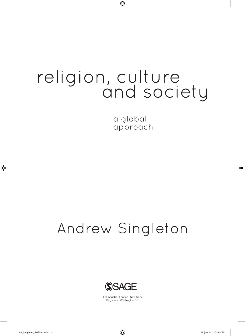# religion, culture<br>and society

 $\bigoplus$ 

a global approach

### Andrew Singleton



Los Angeles | London | New Delhi Singapore | Washington DC

 $\bigoplus$ 

 $\bigoplus$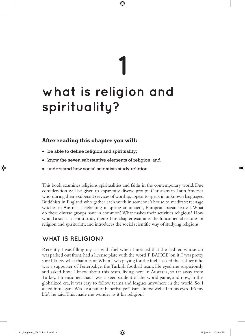⊕

#### **After reading this chapter you will:**

- be able to define religion and spirituality;
- know the seven substantive elements of religion; and
- understand how social scientists study religion.

This book examines religions, spiritualities and faiths in the contemporary world. Due consideration will be given to apparently diverse groups: Christians in Latin America who, during their exuberant services of worship, appear to speak in unknown languages; Buddhists in England who gather each week in someone's house to meditate; teenage witches in Australia celebrating in spring an ancient, European pagan festival. What do these diverse groups have in common? What makes their activities religious? How would a social scientist study them? This chapter examines the fundamental features of religion and spirituality, and introduces the social scientific way of studying religions.

#### **WHAT IS RELIGION?**

Recently I was filling my car with fuel when I noticed that the cashier, whose car was parked out front, had a license plate with the word 'F'BAHCE' on it. I was pretty sure I knew what that meant. When I was paying for the fuel, I asked the cashier if he was a supporter of Fenerbahçe, the Turkish football team. He eyed me suspiciously and asked how I knew about this team, living here in Australia, so far away from Turkey. I mentioned that I was a keen student of the world game, and now, in this globalized era, it was easy to follow teams and leagues anywhere in the world. So, I asked him again. Was he a fan of Fenerbahçe? Tears almost welled in his eyes. 'It's my life', he said. This made me wonder: is it his religion?

♠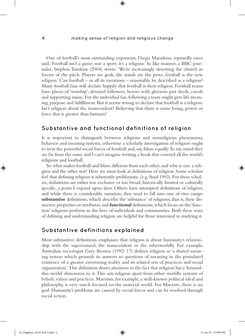⊕

One of football's most outstanding exponents, Diego Maradona, reputedly once said, 'Football isn't a game, nor a sport, it's a religion.' In like manner, a BBC journalist, Stephen Tomkins (2004) wrote: 'We're increasingly deserting the church in favour of the pitch. Players are gods, the stands are the pews, football is the new religion.' Can football – in all its variations – reasonably be described as a religion? Many football fans will declare happily that football is their religion. Football teams have places of 'worship', devoted followers, heroes with glorious past deeds, creeds and supporting music. For the individual fan, following a team might give life meaning, purpose and fulfillment. But it seems wrong to declare that football is a religion. Isn't religion about the transcendent? Believing that there is some being, power or force that is greater than humans?

#### **Substantive and functional definitions of religion**

It is important to distinguish between religious and nonreligious phenomena, behavior and meaning systems, otherwise a scholarly investigation of religion ought to treat the powerful social forces of football and, say, Islam equally. To my mind they are far from the same, and I can't imagine writing a book that covered all the world's religions and football.

So what makes football and Islam different from each other, and why is one a religion and the other not? Here we must look at definitions of religion. Some scholars feel that defining religion is inherently problematic (e.g. Asad 1993). For these scholars, definitions are either too exclusive or too broad, historically limited or culturally specific, a point I expand upon later. Others have attempted definitions of religion, and while there is considerable variation, they tend to fall into one of two camps: **substantive** definitions, which describe the 'substance' of religions, that is, their distinctive properties or attributes; and **functional** definitions, which focus on the 'function' religions perform in the lives of individuals and communities. Both these ways of defining and understanding religion are helpful for those interested in studying it.

#### **Substantive definitions explained**

Most substantive definitions emphasize that religion is about humanity's relationship with the supernatural, the transcendent or the otherworldly. For example, Australian sociologist Gary Bouma (1992: 17) defines religion as 'a shared meaning system which grounds its answers to questions of meaning in the postulated existence of a greater environing reality and its related sets of practices and social organization'. This definition draws attention to the fact that religion has a 'beyondthis-world' dimension to it. This sets religion apart from other worldly systems of beliefs, values and practices. Marxism, for example, a well-known political ideal and philosophy, is very much focused on the material world. For Marxists, there is no god. Humanity's problems are caused by social forces and can be resolved through social action.

♠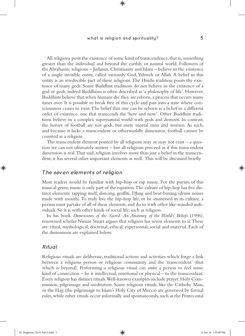⊕

All religions posit the existence of some kind of transcendence, that is, something greater than the individual *and* beyond the earthly or natural world. Followers of the Abrahamic religions – Judaism, Christianity and Islam – believe in the existence of a single invisible entity, called variously God, Yahweh or Allah. A belief in this entity is an irreducible part of these religions. The Hindu tradition posits the existence of many gods. Some Buddhist traditions do not believe in the existence of a god or gods; indeed Buddhism is often described as 'a philosophy of life'. However, Buddhists believe that when humans die they are reborn, a process that occurs many times over. It is possible to break free of this cycle and pass into a state where consciousness ceases to exist. The belief that one can be reborn is a belief in a different order of existence, one that transcends the 'here and now'. Other Buddhist traditions believe in a complex supernatural world with gods and demons. In contrast, the heroes of football are not gods, but mere mortal men and women. As such, and because it lacks a transcendent or otherworldly dimension, football cannot be counted as a religion.

The transcendent element posited by all religions may or may not exist  $-$  a question we can not ultimately answer – but all religions proceed as if this transcendent dimension is real. That said, religion involves more than just a belief in the transcendent; it has several other important elements as well. This will be discussed briefly.

#### **The seven elements of religion**

Most readers would be familiar with hip-hop or rap music. For the purists of this musical genre, music is only part of the equation. The culture of hip-hop has five distinct elements: rapping itself, dancing, graffiti, DJing and beat-boxing (drum noises made with mouth). To truly live the hip-hop life, or be immersed in its culture, a person must partake of all of these elements, and do so with other like-minded individuals. So it is with other kinds of social life, such as religion.

In his book *Dimensions of the Sacred: An Anatomy of the World's Beliefs* (1996), renowned scholar Ninian Smart argues that religion has seven elements to it. These are: ritual; mythological; doctrinal; ethical; experiential; social and material. Each of the dimensions are explained below.

#### **Ritual**

♠

Religious rituals are deliberate, traditional actions and activities which forge a link between a religious person or religious community and the 'transcendent' (that which is beyond). Performing a religious ritual can assist a person to feel some kind of connection – be it intellectual, emotional or physical – to the transcendent. Every religion has distinct rituals. Well-known examples include prayer, Holy Communion, pilgrimage and meditation. Some religious rituals, like the Catholic Mass, or the Hajj (the pilgrimage to Islam's Holy City of Mecca) are governed by formal rules, while other rituals occur informally and spontaneously, such as the Pentecostal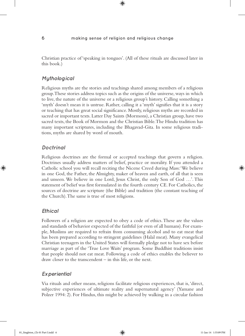Christian practice of 'speaking in tongues'. (All of these rituals are discussed later in this book.)

⊕

#### **Mythological**

Religious myths are the stories and teachings shared among members of a religious group. These stories address topics such as the origins of the universe, ways in which to live, the nature of the universe or a religious group's history. Calling something a 'myth' doesn't mean it is untrue. Rather, calling it a 'myth' signifies that it is a story or teaching that has great social significance. Mostly, religious myths are recorded in sacred or important texts. Latter Day Saints (Mormons), a Christian group, have two sacred texts, the Book of Mormon and the Christian Bible. The Hindu tradition has many important scriptures, including the Bhagavad-Gita. In some religious traditions, myths are shared by word of mouth.

#### **Doctrinal**

♠

Religious doctrines are the formal or accepted teachings that govern a religion. Doctrines usually address matters of belief, practice or morality. If you attended a Catholic school you will recall reciting the Nicene Creed during Mass: 'We believe in one God, the Father, the Almighty, maker of heaven and earth, of all that is seen and unseen. We believe in one Lord, Jesus Christ, the only Son of God …'. This statement of belief was first formulated in the fourth century CE. For Catholics, the sources of doctrine are scripture (the Bible) and tradition (the constant teaching of the Church). The same is true of most religions.

#### **Ethical**

Followers of a religion are expected to obey a code of ethics. These are the values and standards of behavior expected of the faithful (or even of all humans). For example, Muslims are required to refrain from consuming alcohol and to eat meat that has been prepared according to stringent guidelines (Halal meat). Many evangelical Christian teenagers in the United States will formally pledge not to have sex before marriage as part of the 'True Love Waits' program. Some Buddhist traditions insist that people should not eat meat. Following a code of ethics enables the believer to draw closer to the transcendent – in this life, or the next.

#### **Experiential**

Via rituals and other means, religions facilitate religious experiences, that is, 'direct, subjective experiences of ultimate reality and supernatural agency' (Yamane and Polzer 1994: 2). For Hindus, this might be achieved by walking in a circular fashion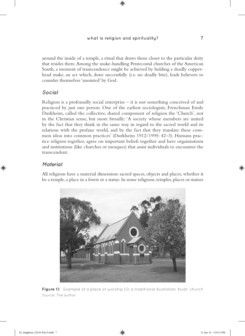around the inside of a temple, a ritual that draws them closer to the particular deity that resides there. Among the snake-handling Pentecostal churches of the American South, a moment of transcendence might be achieved by holding a deadly copperhead snake, an act which, done successfully (i.e. no deadly bite), leads believers to consider themselves 'anointed' by God.

#### **Social**

Religion is a profoundly social enterprise  $-$  it is not something conceived of and practiced by just one person. One of the earliest sociologists, Frenchman Emile Durkheim, called the collective, shared component of religion the 'Church', not in the Christian sense, but more broadly: 'A society whose members are united by the fact that they think in the same way in regard to the sacred world and its relations with the profane world, and by the fact that they translate these common ideas into common practices' (Durkheim 1912/1995: 42–3). Humans practice religion together, agree on important beliefs together and have organizations and institutions (like churches or mosques) that assist individuals to encounter the transcendent.

#### **Material**

♠

All religions have a material dimension: sacred spaces, objects and places, whether it be a temple, a place in a forest or a statue. In some religions, temples, places or statues



**Figure 1.1** Example of a place of worship (I): a traditional Australian 'bush' church Source: The author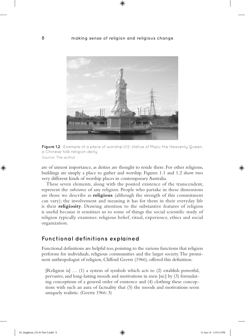⊕



**Figure 1.2** Example of a place of worship (II): statue of Mazu the Heavenly Queen, a Chinese folk religion deity Source: The author

are of utmost importance, as deities are thought to reside there. For other religions, buildings are simply a place to gather and worship. Figures 1.1 and 1.2 show two very different kinds of worship places in contemporary Australia.

These seven elements, along with the posited existence of the transcendent, represent the *substance* of any religion. People who partake in these dimensions are those we describe as **religious** (although the strength of this commitment can vary); the involvement and meaning it has for them in their everyday life is their **religiosity**. Drawing attention to the substantive features of religion is useful because it sensitizes us to some of things the social scientific study of religion typically examines: religious belief, ritual, experience, ethics and social organization.

#### **Functional definitions explained**

Functional definitions are helpful too, pointing to the various functions that religion performs for individuals, religious communities and the larger society. The prominent anthropologist of religion, Clifford Geertz (1966), offered this definition:

[Religion is] … (1) a system of symbols which acts to (2) establish powerful, pervasive, and long-lasting moods and motivations in men [sic] by (3) formulating conceptions of a general order of existence and (4) clothing these conceptions with such an aura of factuality that (5) the moods and motivations seem uniquely realistic. (Geertz 1966: 3)

♠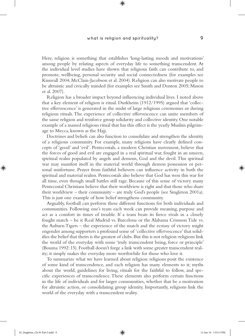⊕

Here, religion is something that establishes 'long-lasting moods and motivations' among people by relating aspects of everyday life to something transcendent. At the individual level studies have shown that religious faith can contribute to, and promote, wellbeing, personal security and social connectedness (for examples see Kinnvall 2004; McClain-Jacobson et al. 2004). Religion can also motivate people to be altruistic and civically minded (for examples see Smith and Denton 2005; Mason et al. 2007).

Religion has a broader impact beyond influencing individual lives. I noted above that a key element of religion is ritual. Durkheim (1912/1995) argued that 'collective effervescence' is generated in the midst of large religious ceremonies or during religious rituals. The experience of collective effervescence can unite members of the same religion and reinforce group solidarity and collective identity. One notable example of a massed religious ritual that has this effect is the yearly Muslim pilgrimage to Mecca, known as the Hajj.

Doctrines and beliefs can also function to consolidate and strengthen the identity of a religious community. For example, many religions have clearly defined concepts of 'good' and 'evil'. Pentecostals, a modern Christian movement, believe that the forces of good and evil are engaged in a real spiritual war, fought in an unseen, spiritual realm populated by angels and demons, God and the devil. This spiritual war may manifest itself in the material world through demon possession or personal misfortune. Prayer from faithful believers can influence activity in both the spiritual and material realms. Pentecostals also believe that God has won this war for all time, even though small battles still rage. Because of this sense of victory many Pentecostal Christians believe that their worldview is right and that those who share their worldview – their community – are truly God's people (see Singleton 2001a). This is just one example of how belief strengthens community.

Arguably, football can perform these different functions for both individuals and communities. Following one's team each week can provide meaning, purpose and act as a comfort in times of trouble. If a team beats its fierce rivals in a closely fought match – be it Real Madrid vs. Barcelona or the Alabama Crimson Tide vs. the Auburn Tigers – the experience of the match and the ecstasy of victory might engender among supporters a profound sense of 'collective effervescence' that solidifies the belief that theirs is the greatest of clubs. But this is not religion: religions link the world of the everyday with some 'truly transcendent being, force or principle' (Bouma 1992: 15). Football doesn't forge a link with some greater transcendent reality; it simply makes the everyday more worthwhile for those who love it.

To summarize what we have learned about religion: religions posit the existence of some kind of transcendence, and each religion has many elements to it; myths about the world, guidelines for living, rituals for the faithful to follow, and specific experiences of transcendence. These elements also perform certain functions in the life of individuals and for larger communities, whether that be a motivation for altruistic action, or consolidating group identity. Importantly, religions link the world of the everyday with a transcendent reality.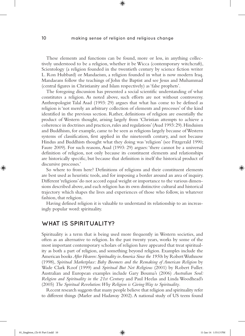⊕

These elements and functions can be found, more or less, in anything collectively understood to be a religion, whether it be Wicca (contemporary witchcraft), Scientology (a religion founded in the twentieth century by science fiction writer L. Ron Hubbard) or Mandaeism, a religion founded in what is now modern Iraq. Mandaeans follow the teachings of John the Baptist and see Jesus and Muhammad (central figures in Christianity and Islam respectively) as 'false prophets'.

The foregoing discussion has presented a social scientific understanding of what constitutes a religion. As noted above, such efforts are not without controversy. Anthropologist Talal Asad (1993: 29) argues that what has come to be defined as religion is 'not merely an arbitrary collection of elements and processes' of the kind identified in the previous section. Rather, definitions of religion are essentially the product of Western thought, arising largely from 'Christian attempts to achieve a coherence in doctrines and practices, rules and regulations' (Asad 1993: 29). Hinduism and Buddhism, for example, came to be seen as religions largely because of Western systems of classification, first applied in the nineteenth century, and not because Hindus and Buddhists thought what they doing was 'religion' (see Fitzgerald 1990; Faure 2009). For such reasons, Asad (1993: 29) argues: 'there cannot be a universal definition of religion, not only because its constituent elements and relationships are historically specific, but because that definition is itself the historical product of discursive processes.'

So where to from here? Definitions of religions and their constituent elements are best used as heuristic tools, and for imposing a border around an area of inquiry. Different 'religions' do not accord equal weight or importance to the various dimensions described above, and each religion has its own distinctive cultural and historical trajectory which shapes the lives and experiences of those who follow, in whatever fashion, that religion.

Having defined religion it is valuable to understand its relationship to an increasingly popular word: spirituality.

#### **WHAT IS SPIRITUALITY?**

Spirituality is a term that is being used more frequently in Western societies, and often as an alternative to religion. In the past twenty years, works by some of the most important contemporary scholars of religion have appeared that treat spirituality as both a part of religion, and something beyond religion. Examples include the American books *After Heaven: Spirituality in America Since the 1950s* by Robert Wuthnow (1998), *Spiritual Marketplace: Baby Boomers and the Remaking of American Religion* by Wade Clark Roof (1999) and *Spiritual But Not Religious* (2001) by Robert Fuller. Australian and European examples include Gary Bouma's (2006) *Australian Soul: Religion and Spirituality in the 21st Century* and Paul Heelas and Linda Woodhead's (2005) *The Spiritual Revolution: Why Religion is Giving Way to Spirituality*.

Recent research suggests that many people believe that religion and spirituality refer to different things (Marler and Hadaway 2002). A national study of US teens found

⊕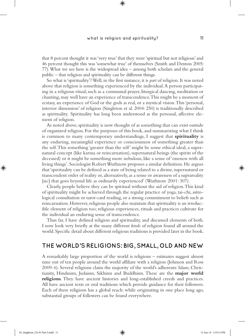⊕

that 8 percent thought it was 'very true' that they were 'spiritual but not religious' and 46 percent thought this was 'somewhat true' of themselves (Smith and Denton 2005: 77). What we see here is the widespread idea – among both scholars and the general public – that religion and spirituality can be different things.

So what is 'spirituality'? Well, in the first instance, it is *part* of religion. It was noted above that religion is something experienced by the individual. A person participating in a religious ritual, such as a communal prayer, liturgical dancing, meditation or chanting, may well have an experience of transcendence. This might be a moment of ecstasy, an experience of God or the gods as real, or a mystical vision. This 'personal, interior dimension' of religion (Singleton et al. 2004: 250) is traditionally described as spirituality. Spirituality has long been understood as the personal, affective element of religion.

As noted above, spirituality is now thought of as something that can exist outside of organized religion. For the purposes of this book, and summarizing what I think is common to many contemporary understandings, I suggest that **spirituality** is any enduring, meaningful experience or consciousness of something greater than the self. This something 'greater than the self' might be some ethical ideal, a supernatural concept (like karma or reincarnation), supernatural beings (the spirits of the deceased) or it might be something more nebulous, like a sense of 'oneness with all living things'. Sociologist Robert Wuthnow proposes a similar definition. He argues that 'spirituality can be defined as a state of being related to a divine, supernatural or transcendent order of reality or, alternatively, as a sense or awareness of a suprareality [sic] that goes beyond life as ordinarily experienced' (Wuthnow 2001: 307).

Clearly, people believe they can be spiritual without the aid of religion. This kind of spirituality might be achieved through the regular practice of yoga, tai-chi, astrological consultation or tarot-card reading, or a strong commitment to beliefs such as reincarnation. However, religious people also maintain that spirituality is an irreducible element of religion too; religious experiences, rituals and practices cultivate for the individual an enduring sense of transcendence.

Thus far, I have defined religion and spirituality, and discussed elements of both. I now look very briefly at the many different *kinds* of religion found all around the world. Specific detail about different religious traditions is provided later in the book.

#### **THE WORLD'S RELIGIONS: BIG, SMALL, OLD AND NEW**

A remarkably large proportion of the world is religious – estimates suggest almost nine out of ten people around the world affiliate with a religion (Johnson and Ross 2009: 6). Several religions claim the majority of the world's adherents: Islam, Christianity, Hinduism, Judaism, Sikhism and Buddhism. These are the **major world religions**. They have ancient histories and long-established creeds and practices. All have ancient texts or oral traditions which provide guidance for their followers. Each of these religions has a global reach: while originating in one place long ago, substantial groups of followers can be found everywhere.

⊕

 $\Leftrightarrow$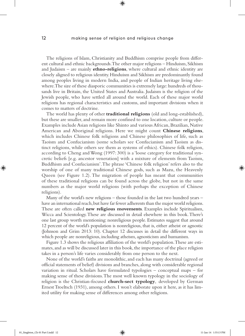⊕

The religions of Islam, Christianity and Buddhism comprise people from different cultural and ethnic backgrounds. The other major religions – Hinduism, Sikhism and Judaism – are mainly **ethno-religions**, where cultural and ethnic identity are closely aligned to religious identity. Hinduism and Sikhism are predominantly found among peoples living in modern India, and people of Indian heritage living elsewhere. The size of these diasporic communities is extremely large: hundreds of thousands live in Britain, the United States and Australia. Judaism is the religion of the Jewish people, who have settled all around the world. Each of these major world religions has regional characteristics and customs, and important divisions when it comes to matters of doctrine.

The world has plenty of other **traditional religions** (old and long-established), but these are smaller, and remain more confined to one location, culture or people. Examples include Asian religions like Shinto and various African, Brazilian, Native American and Aboriginal religions. Here we might count **Chinese religions**, which includes Chinese folk religions and Chinese philosophies of life, such as Taoism and Confucianism (some scholars see Confucianism and Taoism as distinct religions, while others see them as systems of ethics). Chinese folk religion, according to Cheng and Wong (1997: 300) is a 'loose category for traditional syncretic beliefs [e.g. ancestor veneration] with a mixture of elements from Taoism, Buddhism and Confucianism'. The phrase 'Chinese folk religion' refers also to the worship of one of many traditional Chinese gods, such as Mazu, the Heavenly Queen (see Figure 1.2). The migration of people has meant that communities of these traditional religions can be found across the globe, but not in the same numbers as the major world religions (with perhaps the exception of Chinese religions).

Many of the world's new religions – those founded in the last two hundred years – have an international reach, but have far fewer adherents than the major world religions. These are often called **new religious movements**. Examples include Spiritualism, Wicca and Scientology. These are discussed in detail elsewhere in this book. There's one last group worth mentioning: nonreligious people. Estimates suggest that around 12 percent of the world's population is nonreligious, that is, either atheist or agnostic (Johnson and Grim 2013: 10). Chapter 12 discusses in detail the different ways in which people are nonreligious, including atheism, agnosticism and humanism.

Figure 1.3 shows the religious affiliation of the world's population. These are estimates, and as will be discussed later in this book, the importance of the place religion takes in a person's life varies considerably from one person to the next.

None of the world's faiths are monolithic, and each has many doctrinal (agreed or official statements of belief) divisions and branches, along with considerable regional variation in ritual. Scholars have formulated typologies – conceptual maps – for making sense of these divisions. The most well known typology in the sociology of religion is the Christian-focused **church-sect typology**, developed by German Ernest Troeltsch (1931), among others. I won't elaborate upon it here, as it has limited utility for making sense of differences among other religions.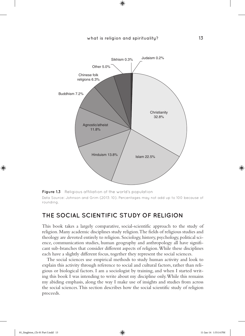$\bigoplus$ 





#### **THE SOCIAL SCIENTIFIC STUDY OF RELIGION**

This book takes a largely comparative, social-scientific approach to the study of religion. Many academic disciplines study religion. The fields of religious studies and theology are devoted entirely to religion. Sociology, history, psychology, political science, communication studies, human geography and anthropology all have significant sub-branches that consider different aspects of religion. While these disciplines each have a slightly different focus, together they represent the social sciences.

The social sciences use empirical methods to study human activity and look to explain this activity through reference to social and cultural factors, rather than religious or biological factors. I am a sociologist by training, and when I started writing this book I was intending to write about my discipline only. While this remains my abiding emphasis, along the way I make use of insights and studies from across the social sciences. This section describes how the social scientific study of religion proceeds.

⊕

♠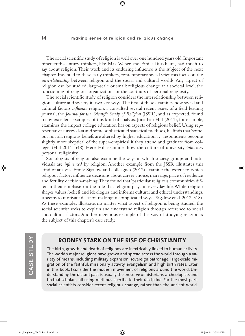⊕

The social scientific study of religion is well over one hundred years old. Important nineteenth-century thinkers, like Max Weber and Emile Durkheim, had much to say about religion. Their work and its enduring influence is the subject of the next chapter. Indebted to these early thinkers, contemporary social scientists focus on the *interrelationship* between religion and the social and cultural worlds. Any aspect of religion can be studied, large-scale or small: religious change at a societal level, the functioning of religious organizations or the contours of personal religiosity.

The social scientific study of religion considers the interrelationship between religion, culture and society in two key ways. The first of these examines how social and cultural factors *influence* religion. I consulted several recent issues of a field-leading journal, the *Journal for the Scientific Study of Religion* (JSSR), and as expected, found many excellent examples of this kind of analysis. Jonathan Hill (2011), for example, examines the impact college education has on aspects of religious belief. Using representative survey data and some sophisticated statistical methods, he finds that 'some, but not all, religious beliefs are altered by higher education … respondents become slightly more skeptical of the super-empirical if they attend and graduate from college' (Hill 2011: 548). Here, Hill examines how the culture of university *influences* personal religiosity.

Sociologists of religion also examine the ways in which society, groups and individuals are *influenced* by religion. Another example from the JSSR illustrates this kind of analysis. Emily Sigalow and colleagues (2012) examine the extent to which religious factors influence decisions about career choice, marriage, place of residence and fertility decision-making. They found that 'particular religious communities differ in their emphasis on the role that religion plays in everyday life. While religion shapes values, beliefs and ideologies and informs cultural and ethical understandings, it seems to motivate decision making in complicated ways' (Sigalow et al. 2012: 318). As these examples illustrate, no matter what aspect of religion is being studied, the social scientist seeks to explain and understand religion through reference to social and cultural factors. Another ingenious example of this way of studying religion is the subject of this chapter's case study.

♠

#### **RODNEY STARK ON THE RISE OF CHRISTIANITY**

The birth, growth and death of religions are inextricably linked to human activity. The world's major religions have grown and spread across the world through a variety of means, including military expansion, sovereign patronage, large-scale migration of the faithful, missionary activity, evangelism and high birth rates. Later in this book, I consider the modern movement of religions around the world. Understanding the distant past is usually the preserve of historians, archeologists and textual scholars, all using methods specific to their discipline. For the most part, social scientists consider recent religious change, rather than the ancient world.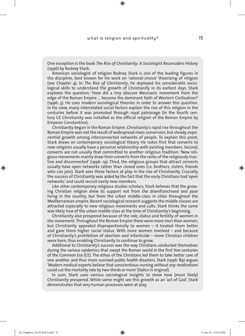⊕

One exception is the book *The Rise of Christianity: A Sociologist Reconsiders History* (1996) by Rodney Stark.

American sociologist of religion Rodney Stark is one of the leading figures in the discipline, best known for his work on 'rational-choice' theorizing of religion (see Chapter 4). In *The Rise of Christianity*, he deployed his considerable sociological skills to understand the growth of Christianity in its earliest days. Stark explores the question: 'How did a tiny obscure Messianic movement from the edge of the Roman Empire … become the dominant faith of Western Civilization?' (1996: 3). He uses modern sociological theories in order to answer this question. In his view, many interrelated social factors explain the rise of this religion in the centuries before it was promoted through royal patronage (in the fourth century CE Christianity was installed as the official religion of the Roman Empire by Emperor Constantine).

Christianity began in the Roman Empire. Christianity's rapid rise throughout the Roman Empire was not the result of widespread mass conversion, but steady, exponential growth among interconnected networks of people. To explain this point, Stark draws on contemporary sociological theory. He notes first that converts to new religions usually have a personal relationship with existing members. Second, converts are not usually that committed to another religious tradition: 'New religious movements mainly draw their converts from the ranks of the religiously inactive and disconnected' (1996: 19). Third, the religious groups that attract converts usually have open networks rather than closed ones (i.e. brothers, sisters, friends who can join). Stark sees these factors at play in the rise of Christianity. Crucially, the success of Christianity was aided by the fact that the early Christians had 'open networks' and could recruit easily new members.

Like other contemporary religious studies scholars, Stark believes that the growing Christian religion drew its support not from the disenfranchised and poor living in the country, but from the urban middle-class in cities throughout the Mediterranean empire. Recent sociological research suggests the middle classes are attracted especially to new religious movements and cults. Stark thinks the same was likely true of the urban middle class at the time of Christianity's beginning.

Christianity also prospered because of the role, status and fertility of women in the movement. Throughout the Roman Empire there were more men than women, but Christianity appealed disproportionally to women – it treated them better and gave them higher social status. With more women involved – and because of Christianity's prohibition of abortion and infanticide – more Christian children were born, thus enabling Christianity to continue to grow.

Additional to Christianity's success was the way Christians conducted themselves during the various epidemics that swept the Roman world in the first few centuries of the Common Era (CE). The ethos of the Christians led them to take better care of one another, and thus more survived public health disasters. Stark (1996: 89) argues 'Modern medical experts believe that conscientious nursing *without any medications*  could cut the mortality rate by two-thirds or more' (italics in original).

In sum, Stark uses various sociological insights to show how (most likely) Christianity prospered. While some might see this growth as an 'act of God', Stark demonstrates that very human processes were at play.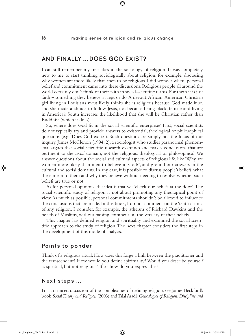⊕

#### **AND FINALLY … DOES GOD EXIST?**

I can still remember my first class in the sociology of religion. It was completely new to me to start thinking sociologically about religion, for example, discussing why women are more likely than men to be religious. I did wonder where personal belief and commitment came into these discussions. Religious people all around the world certainly don't think of their faith in social-scientific terms. For them it is just faith – something they believe, accept or do. A devout, African-American Christian girl living in Louisiana most likely thinks she is religious because God made it so, and she made a choice to follow Jesus, not because being black, female and living in America's South increases the likelihood that she will be Christian rather than Buddhist (which it does).

So, where does God fit in the social scientific enterprise? First, social scientists do not typically try and provide answers to existential, theological or philosophical questions (e.g. 'Does God exist?'). Such questions are simply not the focus of our inquiry. James McClenon (1994: 2), a sociologist who studies paranormal phenomena, argues that social scientific research examines and makes conclusions that are pertinent to the *social* domain, not the religious, theological or philosophical. We answer questions about the social and cultural aspects of religious life, like 'Why are women more likely than men to believe in God?', and ground our answers in the cultural and social domains. In any case, it is possible to discuss people's beliefs, what these mean to them and why they believe without needing to resolve whether such beliefs are true or not.

As for personal opinions, the idea is that we 'check our beliefs at the door'. The social scientific study of religion is not about promoting any theological point of view. As much as possible, personal commitments shouldn't be allowed to influence the conclusions that are made. In this book, I do not comment on the 'truth claims' of any religion. I consider, for example, the atheism of Richard Dawkins and the beliefs of Muslims, without passing comment on the veracity of their beliefs.

This chapter has defined religion and spirituality and examined the social scientific approach to the study of religion. The next chapter considers the first steps in the development of this mode of analysis.

#### **Points to ponder**

Think of a religious ritual. How does this forge a link between the practitioner and the transcendent? How would you define spirituality? Would you describe yourself as spiritual, but not religious? If so, how do you express this?

#### **Next steps …**

For a nuanced discussion of the complexities of defining religion, see James Beckford's book *Social Theory and Religion* (2003) and Talal Asad's *Genealogies of Religion: Discipline and* 

♠